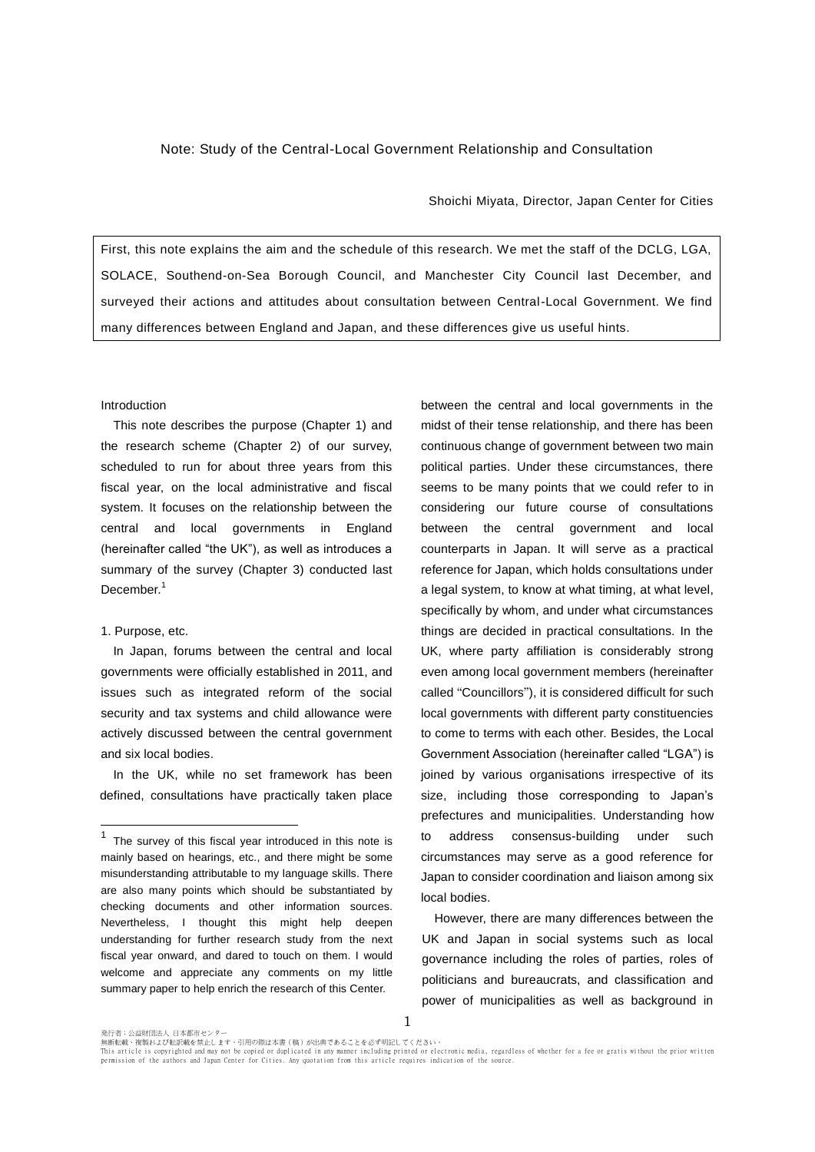## Note: Study of the Central-Local Government Relationship and Consultation

Shoichi Miyata, Director, Japan Center for Cities

First, this note explains the aim and the schedule of this research. We met the staff of the DCLG, LGA, SOLACE, Southend-on-Sea Borough Council, and Manchester City Council last December, and surveyed their actions and attitudes about consultation between Central-Local Government. We find many differences between England and Japan, and these differences give us useful hints.

### Introduction

This note describes the purpose (Chapter 1) and the research scheme (Chapter 2) of our survey, scheduled to run for about three years from this fiscal year, on the local administrative and fiscal system. It focuses on the relationship between the central and local governments in England (hereinafter called "the UK"), as well as introduces a summary of the survey (Chapter 3) conducted last December.<sup>1</sup>

### 1. Purpose, etc.

 $\overline{a}$ 

In Japan, forums between the central and local governments were officially established in 2011, and issues such as integrated reform of the social security and tax systems and child allowance were actively discussed between the central government and six local bodies.

In the UK, while no set framework has been defined, consultations have practically taken place

between the central and local governments in the midst of their tense relationship, and there has been continuous change of government between two main political parties. Under these circumstances, there seems to be many points that we could refer to in considering our future course of consultations between the central government and local counterparts in Japan. It will serve as a practical reference for Japan, which holds consultations under a legal system, to know at what timing, at what level, specifically by whom, and under what circumstances things are decided in practical consultations. In the UK, where party affiliation is considerably strong even among local government members (hereinafter called "Councillors"), it is considered difficult for such local governments with different party constituencies to come to terms with each other. Besides, the Local Government Association (hereinafter called "LGA") is joined by various organisations irrespective of its size, including those corresponding to Japan's prefectures and municipalities. Understanding how to address consensus-building under such circumstances may serve as a good reference for Japan to consider coordination and liaison among six local bodies.

However, there are many differences between the UK and Japan in social systems such as local governance including the roles of parties, roles of politicians and bureaucrats, and classification and power of municipalities as well as background in

1

 $1$  The survey of this fiscal year introduced in this note is mainly based on hearings, etc., and there might be some misunderstanding attributable to my language skills. There are also many points which should be substantiated by checking documents and other information sources. Nevertheless, I thought this might help deepen understanding for further research study from the next fiscal year onward, and dared to touch on them. I would welcome and appreciate any comments on my little summary paper to help enrich the research of this Center.

発行者:公益財団法人 日本都市センター<br>無断転載、複製および転訳載を禁止します。引用の際は本書(稿)が出典であることを必ず明記してください。 This article is copyrighted and may not be copied or duplicated in any manner including printed or electronic media, regardless of whether for a fee or gratis without the prior written<br>permission of the authors and Japan C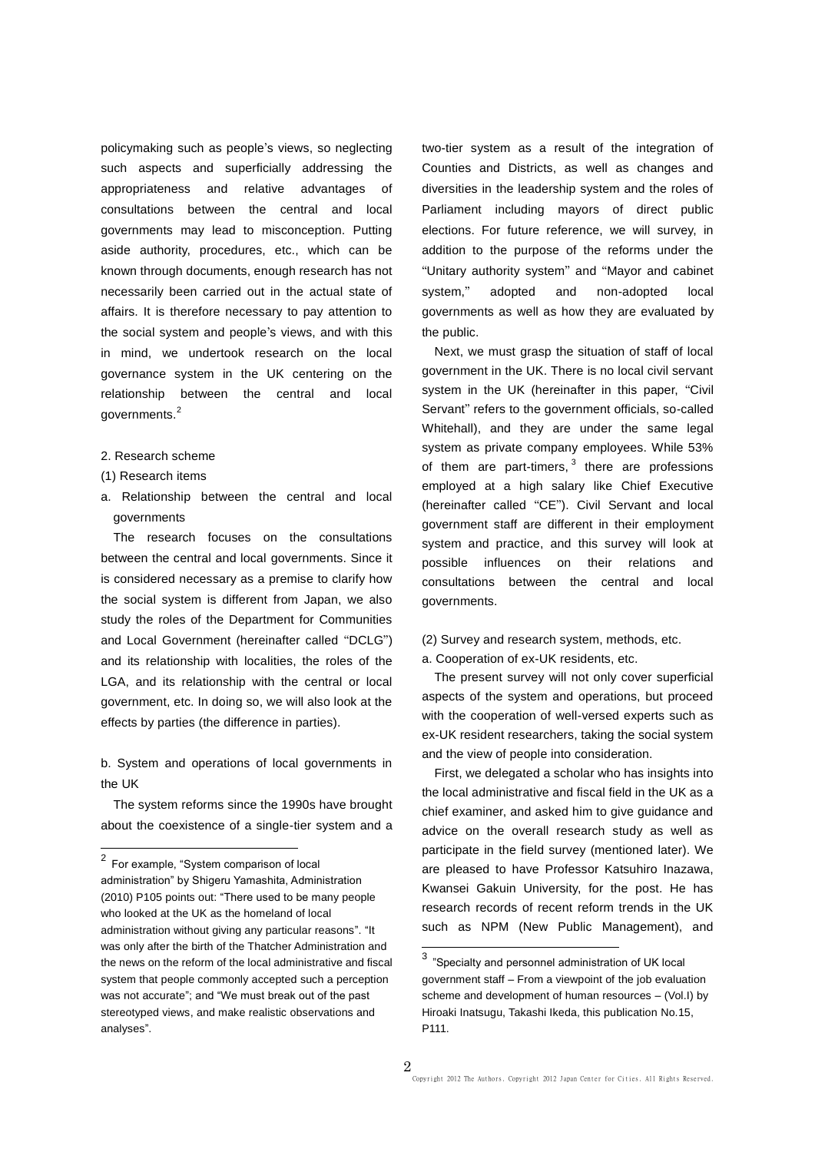policymaking such as people's views, so neglecting such aspects and superficially addressing the appropriateness and relative advantages of consultations between the central and local governments may lead to misconception. Putting aside authority, procedures, etc., which can be known through documents, enough research has not necessarily been carried out in the actual state of affairs. It is therefore necessary to pay attention to the social system and people's views, and with this in mind, we undertook research on the local governance system in the UK centering on the relationship between the central and local governments.<sup>2</sup>

- 2. Research scheme
- (1) Research items

 $\overline{a}$ 

a. Relationship between the central and local governments

The research focuses on the consultations between the central and local governments. Since it is considered necessary as a premise to clarify how the social system is different from Japan, we also study the roles of the Department for Communities and Local Government (hereinafter called "DCLG") and its relationship with localities, the roles of the LGA, and its relationship with the central or local government, etc. In doing so, we will also look at the effects by parties (the difference in parties).

b. System and operations of local governments in the UK

The system reforms since the 1990s have brought about the coexistence of a single-tier system and a

two-tier system as a result of the integration of Counties and Districts, as well as changes and diversities in the leadership system and the roles of Parliament including mayors of direct public elections. For future reference, we will survey, in addition to the purpose of the reforms under the "Unitary authority system" and "Mayor and cabinet system," adopted and non-adopted local governments as well as how they are evaluated by the public.

Next, we must grasp the situation of staff of local government in the UK. There is no local civil servant system in the UK (hereinafter in this paper, "Civil Servant" refers to the government officials, so-called Whitehall), and they are under the same legal system as private company employees. While 53% of them are part-timers,  $3$  there are professions employed at a high salary like Chief Executive (hereinafter called "CE"). Civil Servant and local government staff are different in their employment system and practice, and this survey will look at possible influences on their relations and consultations between the central and local governments.

## (2) Survey and research system, methods, etc.

a. Cooperation of ex-UK residents, etc.

The present survey will not only cover superficial aspects of the system and operations, but proceed with the cooperation of well-versed experts such as ex-UK resident researchers, taking the social system and the view of people into consideration.

First, we delegated a scholar who has insights into the local administrative and fiscal field in the UK as a chief examiner, and asked him to give guidance and advice on the overall research study as well as participate in the field survey (mentioned later). We are pleased to have Professor Katsuhiro Inazawa, Kwansei Gakuin University, for the post. He has research records of recent reform trends in the UK such as NPM (New Public Management), and

 $2$  For example, "System comparison of local administration" by Shigeru Yamashita, Administration (2010) P105 points out: "There used to be many people who looked at the UK as the homeland of local administration without giving any particular reasons". "It was only after the birth of the Thatcher Administration and the news on the reform of the local administrative and fiscal system that people commonly accepted such a perception was not accurate"; and "We must break out of the past stereotyped views, and make realistic observations and analyses".

**TERET**<br><sup>3</sup> "Specialty and personnel administration of UK local government staff – From a viewpoint of the job evaluation scheme and development of human resources – (Vol.I) by Hiroaki Inatsugu, Takashi Ikeda, this publication No.15, P111.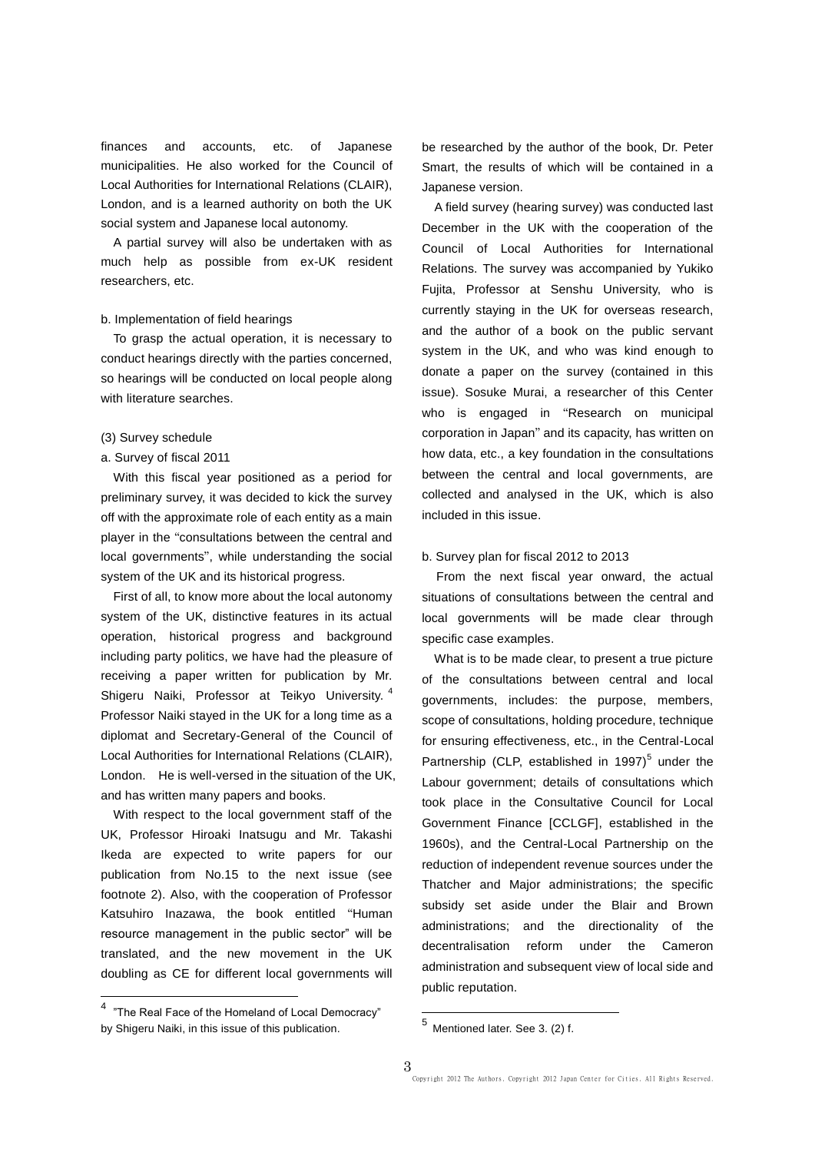finances and accounts, etc. of Japanese municipalities. He also worked for the Council of Local Authorities for International Relations (CLAIR), London, and is a learned authority on both the UK social system and Japanese local autonomy.

A partial survey will also be undertaken with as much help as possible from ex-UK resident researchers, etc.

### b. Implementation of field hearings

To grasp the actual operation, it is necessary to conduct hearings directly with the parties concerned, so hearings will be conducted on local people along with literature searches.

### (3) Survey schedule

# a. Survey of fiscal 2011

With this fiscal year positioned as a period for preliminary survey, it was decided to kick the survey off with the approximate role of each entity as a main player in the "consultations between the central and local governments", while understanding the social system of the UK and its historical progress.

First of all, to know more about the local autonomy system of the UK, distinctive features in its actual operation, historical progress and background including party politics, we have had the pleasure of receiving a paper written for publication by Mr. Shigeru Naiki, Professor at Teikyo University. 4 Professor Naiki stayed in the UK for a long time as a diplomat and Secretary-General of the Council of Local Authorities for International Relations (CLAIR), London. He is well-versed in the situation of the UK, and has written many papers and books.

With respect to the local government staff of the UK, Professor Hiroaki Inatsugu and Mr. Takashi Ikeda are expected to write papers for our publication from No.15 to the next issue (see footnote 2). Also, with the cooperation of Professor Katsuhiro Inazawa, the book entitled "Human resource management in the public sector" will be translated, and the new movement in the UK doubling as CE for different local governments will

<sup>4</sup> "The Real Face of the Homeland of Local Democracy" by Shigeru Naiki, in this issue of this publication.

 $\overline{a}$ 

be researched by the author of the book, Dr. Peter Smart, the results of which will be contained in a Japanese version.

A field survey (hearing survey) was conducted last December in the UK with the cooperation of the Council of Local Authorities for International Relations. The survey was accompanied by Yukiko Fujita, Professor at Senshu University, who is currently staying in the UK for overseas research, and the author of a book on the public servant system in the UK, and who was kind enough to donate a paper on the survey (contained in this issue). Sosuke Murai, a researcher of this Center who is engaged in "Research on municipal corporation in Japan" and its capacity, has written on how data, etc., a key foundation in the consultations between the central and local governments, are collected and analysed in the UK, which is also included in this issue.

### b. Survey plan for fiscal 2012 to 2013

From the next fiscal year onward, the actual situations of consultations between the central and local governments will be made clear through specific case examples.

What is to be made clear, to present a true picture of the consultations between central and local governments, includes: the purpose, members, scope of consultations, holding procedure, technique for ensuring effectiveness, etc., in the Central-Local Partnership (CLP, established in 1997)<sup>5</sup> under the Labour government; details of consultations which took place in the Consultative Council for Local Government Finance [CCLGF], established in the 1960s), and the Central-Local Partnership on the reduction of independent revenue sources under the Thatcher and Major administrations; the specific subsidy set aside under the Blair and Brown administrations; and the directionality of the decentralisation reform under the Cameron administration and subsequent view of local side and public reputation.

 5 Mentioned later. See 3. (2) f.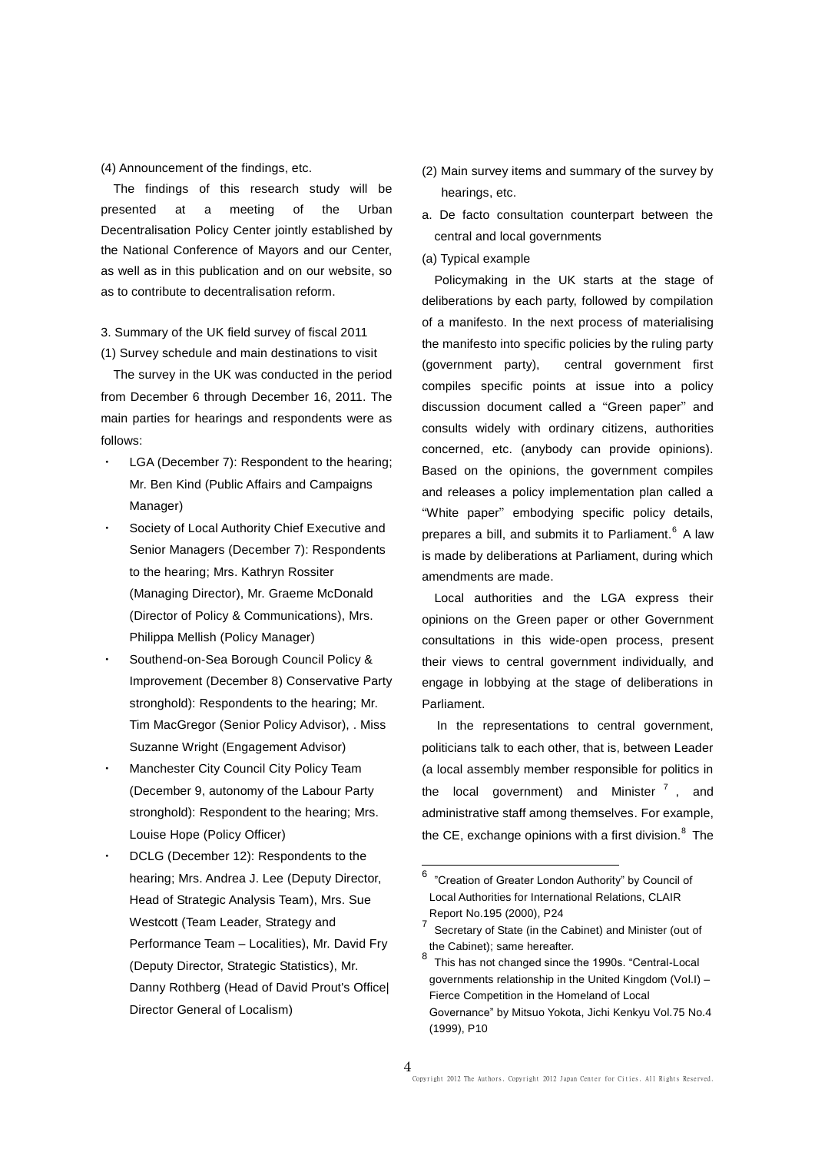(4) Announcement of the findings, etc.

The findings of this research study will be presented at a meeting of the Urban Decentralisation Policy Center jointly established by the National Conference of Mayors and our Center, as well as in this publication and on our website, so as to contribute to decentralisation reform.

# 3. Summary of the UK field survey of fiscal 2011

(1) Survey schedule and main destinations to visit

The survey in the UK was conducted in the period from December 6 through December 16, 2011. The main parties for hearings and respondents were as follows:

- LGA (December 7): Respondent to the hearing; Mr. Ben Kind (Public Affairs and Campaigns Manager)
- Society of Local Authority Chief Executive and Senior Managers (December 7): Respondents to the hearing; Mrs. Kathryn Rossiter (Managing Director), Mr. Graeme McDonald (Director of Policy & Communications), Mrs. Philippa Mellish (Policy Manager)
- Southend-on-Sea Borough Council Policy & Improvement (December 8) Conservative Party stronghold): Respondents to the hearing; Mr. Tim MacGregor (Senior Policy Advisor), . Miss Suzanne Wright (Engagement Advisor)
- **Manchester City Council City Policy Team** (December 9, autonomy of the Labour Party stronghold): Respondent to the hearing; Mrs. Louise Hope (Policy Officer)
- DCLG (December 12): Respondents to the hearing; Mrs. Andrea J. Lee (Deputy Director, Head of Strategic Analysis Team), Mrs. Sue Westcott (Team Leader, Strategy and Performance Team – Localities), Mr. David Fry (Deputy Director, Strategic Statistics), Mr. Danny Rothberg (Head of David Prout's Office| Director General of Localism)
- (2) Main survey items and summary of the survey by hearings, etc.
- a. De facto consultation counterpart between the central and local governments

## (a) Typical example

Policymaking in the UK starts at the stage of deliberations by each party, followed by compilation of a manifesto. In the next process of materialising the manifesto into specific policies by the ruling party (government party), central government first compiles specific points at issue into a policy discussion document called a "Green paper" and consults widely with ordinary citizens, authorities concerned, etc. (anybody can provide opinions). Based on the opinions, the government compiles and releases a policy implementation plan called a "White paper" embodying specific policy details, prepares a bill, and submits it to Parliament.<sup>6</sup> A law is made by deliberations at Parliament, during which amendments are made.

Local authorities and the LGA express their opinions on the Green paper or other Government consultations in this wide-open process, present their views to central government individually, and engage in lobbying at the stage of deliberations in Parliament.

In the representations to central government, politicians talk to each other, that is, between Leader (a local assembly member responsible for politics in the local government) and Minister  $<sup>7</sup>$ , and</sup> administrative staff among themselves. For example, the CE, exchange opinions with a first division. $8$  The

 6 "Creation of Greater London Authority" by Council of Local Authorities for International Relations, CLAIR Report No.195 (2000), P24

 $7$  Secretary of State (in the Cabinet) and Minister (out of the Cabinet); same hereafter.

<sup>8</sup> This has not changed since the 1990s. "Central-Local governments relationship in the United Kingdom (Vol.I) – Fierce Competition in the Homeland of Local Governance" by Mitsuo Yokota, Jichi Kenkyu Vol.75 No.4 (1999), P10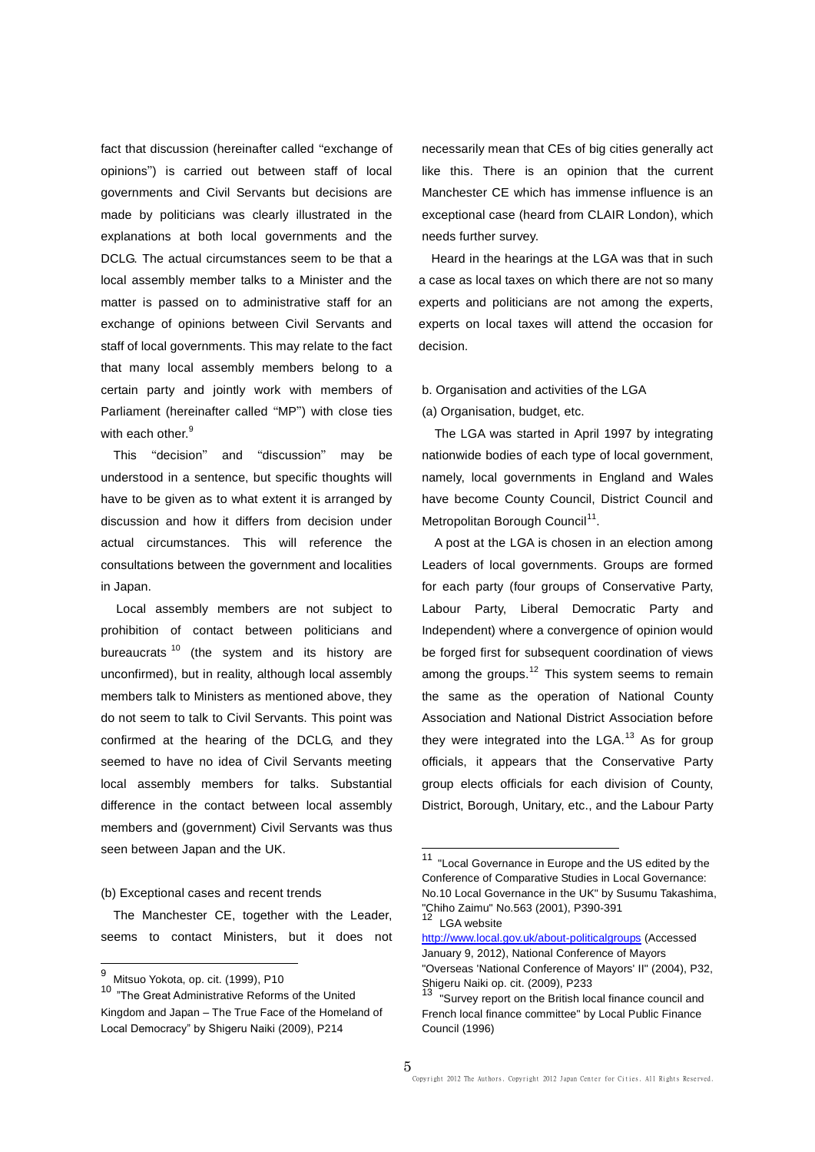fact that discussion (hereinafter called "exchange of opinions") is carried out between staff of local governments and Civil Servants but decisions are made by politicians was clearly illustrated in the explanations at both local governments and the DCLG. The actual circumstances seem to be that a local assembly member talks to a Minister and the matter is passed on to administrative staff for an exchange of opinions between Civil Servants and staff of local governments. This may relate to the fact that many local assembly members belong to a certain party and jointly work with members of Parliament (hereinafter called "MP") with close ties with each other.<sup>9</sup>

This "decision" and "discussion" may be understood in a sentence, but specific thoughts will have to be given as to what extent it is arranged by discussion and how it differs from decision under actual circumstances. This will reference the consultations between the government and localities in Japan.

Local assembly members are not subject to prohibition of contact between politicians and bureaucrats<sup>10</sup> (the system and its history are unconfirmed), but in reality, although local assembly members talk to Ministers as mentioned above, they do not seem to talk to Civil Servants. This point was confirmed at the hearing of the DCLG, and they seemed to have no idea of Civil Servants meeting local assembly members for talks. Substantial difference in the contact between local assembly members and (government) Civil Servants was thus seen between Japan and the UK.

#### (b) Exceptional cases and recent trends

The Manchester CE, together with the Leader, seems to contact Ministers, but it does not necessarily mean that CEs of big cities generally act like this. There is an opinion that the current Manchester CE which has immense influence is an exceptional case (heard from CLAIR London), which needs further survey.

 Heard in the hearings at the LGA was that in such a case as local taxes on which there are not so many experts and politicians are not among the experts, experts on local taxes will attend the occasion for decision.

b. Organisation and activities of the LGA

(a) Organisation, budget, etc.

The LGA was started in April 1997 by integrating nationwide bodies of each type of local government, namely, local governments in England and Wales have become County Council, District Council and Metropolitan Borough Council<sup>11</sup>.

A post at the LGA is chosen in an election among Leaders of local governments. Groups are formed for each party (four groups of Conservative Party, Labour Party, Liberal Democratic Party and Independent) where a convergence of opinion would be forged first for subsequent coordination of views among the groups. $12$  This system seems to remain the same as the operation of National County Association and National District Association before they were integrated into the  $LGA$ <sup>13</sup> As for group officials, it appears that the Conservative Party group elects officials for each division of County, District, Borough, Unitary, etc., and the Labour Party

 $\overline{\phantom{a}}$ 

<sup>&</sup>lt;u>.</u><br><sup>9</sup> Mitsuo Yokota, op. cit. (1999), P10

<sup>10</sup> "The Great Administrative Reforms of the United Kingdom and Japan – The True Face of the Homeland of Local Democracy" by Shigeru Naiki (2009), P214

<sup>&</sup>lt;sup>11</sup> "Local Governance in Europe and the US edited by the Conference of Comparative Studies in Local Governance: No.10 Local Governance in the UK" by Susumu Takashima, "Chiho Zaimu" No.563 (2001), P390-391 LGA website

<http://www.local.gov.uk/about-politicalgroups> (Accessed January 9, 2012), National Conference of Mayors "Overseas 'National Conference of Mayors' II" (2004), P32, Shigeru Naiki op. cit. (2009), P233

<sup>&</sup>quot;Survey report on the British local finance council and French local finance committee" by Local Public Finance Council (1996)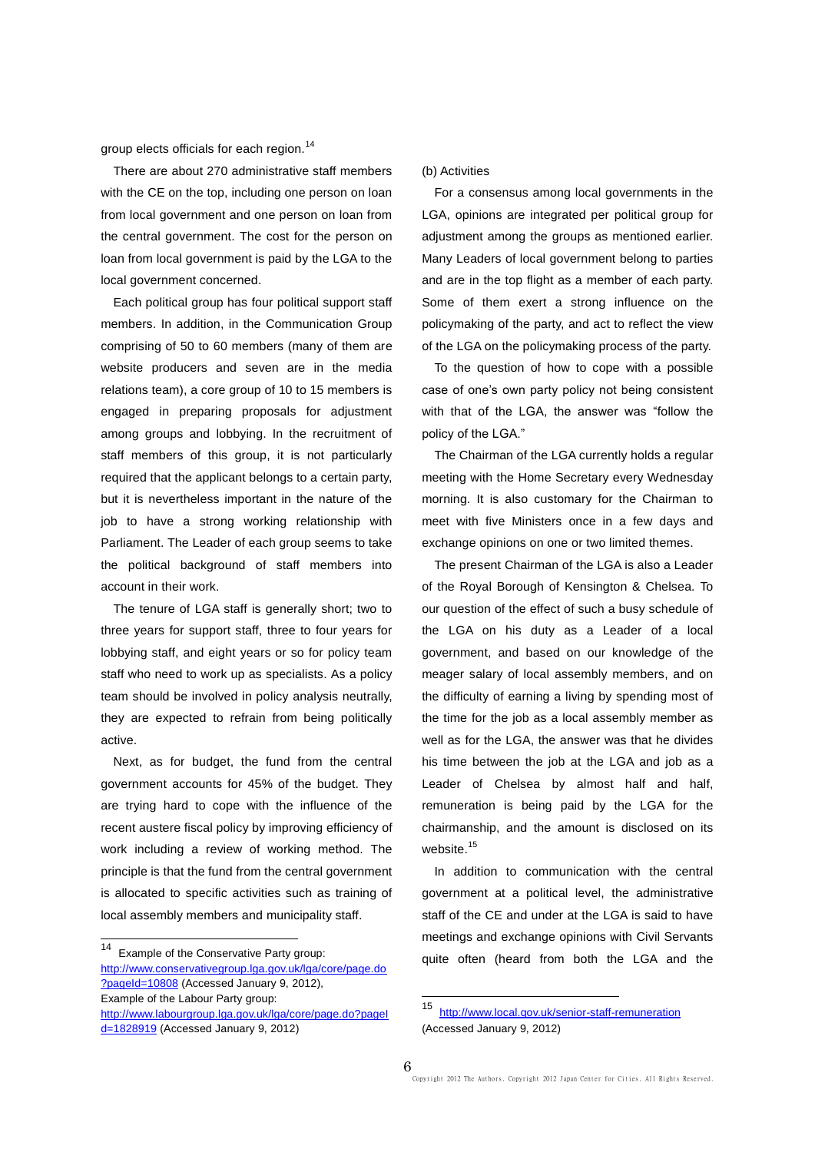group elects officials for each region.<sup>14</sup>

There are about 270 administrative staff members with the CE on the top, including one person on loan from local government and one person on loan from the central government. The cost for the person on loan from local government is paid by the LGA to the local government concerned.

Each political group has four political support staff members. In addition, in the Communication Group comprising of 50 to 60 members (many of them are website producers and seven are in the media relations team), a core group of 10 to 15 members is engaged in preparing proposals for adjustment among groups and lobbying. In the recruitment of staff members of this group, it is not particularly required that the applicant belongs to a certain party, but it is nevertheless important in the nature of the job to have a strong working relationship with Parliament. The Leader of each group seems to take the political background of staff members into account in their work.

The tenure of LGA staff is generally short; two to three years for support staff, three to four years for lobbying staff, and eight years or so for policy team staff who need to work up as specialists. As a policy team should be involved in policy analysis neutrally, they are expected to refrain from being politically active.

Next, as for budget, the fund from the central government accounts for 45% of the budget. They are trying hard to cope with the influence of the recent austere fiscal policy by improving efficiency of work including a review of working method. The principle is that the fund from the central government is allocated to specific activities such as training of local assembly members and municipality staff.

 $14$ Example of the Conservative Party group: [http://www.conservativegroup.lga.gov.uk/lga/core/page.do](http://www.conservativegroup.lga.gov.uk/lga/core/page.do?pageId=10808) [?pageId=10808](http://www.conservativegroup.lga.gov.uk/lga/core/page.do?pageId=10808) (Accessed January 9, 2012), Example of the Labour Party group: [http://www.labourgroup.lga.gov.uk/lga/core/page.do?pageI](http://www.labourgroup.lga.gov.uk/lga/core/page.do?pageId=1828919) [d=1828919](http://www.labourgroup.lga.gov.uk/lga/core/page.do?pageId=1828919) (Accessed January 9, 2012)

(b) Activities

For a consensus among local governments in the LGA, opinions are integrated per political group for adjustment among the groups as mentioned earlier. Many Leaders of local government belong to parties and are in the top flight as a member of each party. Some of them exert a strong influence on the policymaking of the party, and act to reflect the view of the LGA on the policymaking process of the party.

To the question of how to cope with a possible case of one's own party policy not being consistent with that of the LGA, the answer was "follow the policy of the LGA."

The Chairman of the LGA currently holds a regular meeting with the Home Secretary every Wednesday morning. It is also customary for the Chairman to meet with five Ministers once in a few days and exchange opinions on one or two limited themes.

The present Chairman of the LGA is also a Leader of the Royal Borough of Kensington & Chelsea. To our question of the effect of such a busy schedule of the LGA on his duty as a Leader of a local government, and based on our knowledge of the meager salary of local assembly members, and on the difficulty of earning a living by spending most of the time for the job as a local assembly member as well as for the LGA, the answer was that he divides his time between the job at the LGA and job as a Leader of Chelsea by almost half and half, remuneration is being paid by the LGA for the chairmanship, and the amount is disclosed on its website.<sup>15</sup>

In addition to communication with the central government at a political level, the administrative staff of the CE and under at the LGA is said to have meetings and exchange opinions with Civil Servants quite often (heard from both the LGA and the

-

<sup>15</sup> <http://www.local.gov.uk/senior-staff-remuneration> (Accessed January 9, 2012)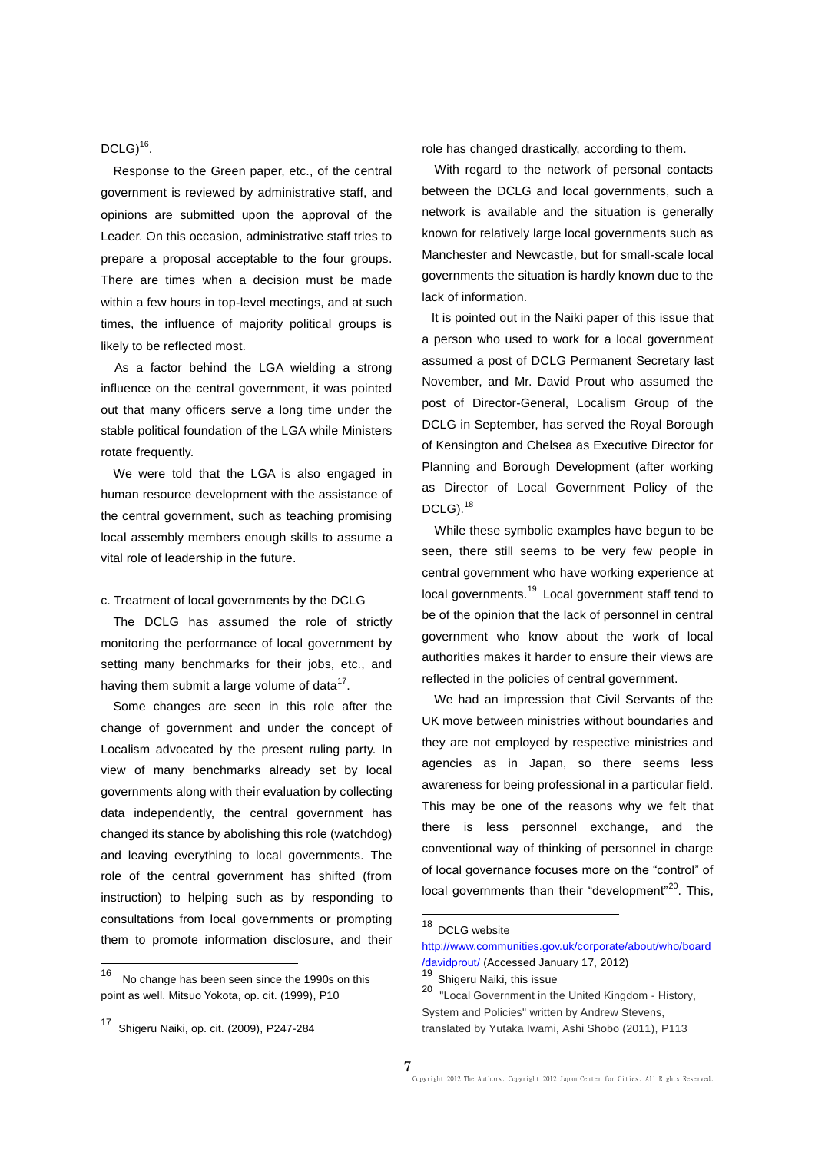DCLG) $^{16}$ .

Response to the Green paper, etc., of the central government is reviewed by administrative staff, and opinions are submitted upon the approval of the Leader. On this occasion, administrative staff tries to prepare a proposal acceptable to the four groups. There are times when a decision must be made within a few hours in top-level meetings, and at such times, the influence of majority political groups is likely to be reflected most.

As a factor behind the LGA wielding a strong influence on the central government, it was pointed out that many officers serve a long time under the stable political foundation of the LGA while Ministers rotate frequently.

We were told that the LGA is also engaged in human resource development with the assistance of the central government, such as teaching promising local assembly members enough skills to assume a vital role of leadership in the future.

c. Treatment of local governments by the DCLG

The DCLG has assumed the role of strictly monitoring the performance of local government by setting many benchmarks for their jobs, etc., and having them submit a large volume of data $^{17}$ .

Some changes are seen in this role after the change of government and under the concept of Localism advocated by the present ruling party. In view of many benchmarks already set by local governments along with their evaluation by collecting data independently, the central government has changed its stance by abolishing this role (watchdog) and leaving everything to local governments. The role of the central government has shifted (from instruction) to helping such as by responding to consultations from local governments or prompting them to promote information disclosure, and their role has changed drastically, according to them.

With regard to the network of personal contacts between the DCLG and local governments, such a network is available and the situation is generally known for relatively large local governments such as Manchester and Newcastle, but for small-scale local governments the situation is hardly known due to the lack of information.

It is pointed out in the Naiki paper of this issue that a person who used to work for a local government assumed a post of DCLG Permanent Secretary last November, and Mr. David Prout who assumed the post of Director-General, Localism Group of the DCLG in September, has served the Royal Borough of Kensington and Chelsea as Executive Director for Planning and Borough Development (after working as Director of Local Government Policy of the DCLG).<sup>18</sup>

While these symbolic examples have begun to be seen, there still seems to be very few people in central government who have working experience at local governments.<sup>19</sup> Local government staff tend to be of the opinion that the lack of personnel in central government who know about the work of local authorities makes it harder to ensure their views are reflected in the policies of central government.

We had an impression that Civil Servants of the UK move between ministries without boundaries and they are not employed by respective ministries and agencies as in Japan, so there seems less awareness for being professional in a particular field. This may be one of the reasons why we felt that there is less personnel exchange, and the conventional way of thinking of personnel in charge of local governance focuses more on the "control" of local governments than their "development"<sup>20</sup>. This,

 $\overline{a}$ 

 $\frac{1}{16}$  No change has been seen since the 1990s on this point as well. Mitsuo Yokota, op. cit. (1999), P10

<sup>17</sup> Shigeru Naiki, op. cit. (2009), P247-284

<sup>&</sup>lt;sup>18</sup> DCLG website

[http://www.communities.gov.uk/corporate/about/who/board](http://www.communities.gov.uk/corporate/about/who/board/davidprout/) [/davidprout/](http://www.communities.gov.uk/corporate/about/who/board/davidprout/) (Accessed January 17, 2012)

<sup>19</sup> Shigeru Naiki, this issue

<sup>20</sup> "Local Government in the United Kingdom - History, System and Policies" written by Andrew Stevens, translated by Yutaka Iwami, Ashi Shobo (2011), P113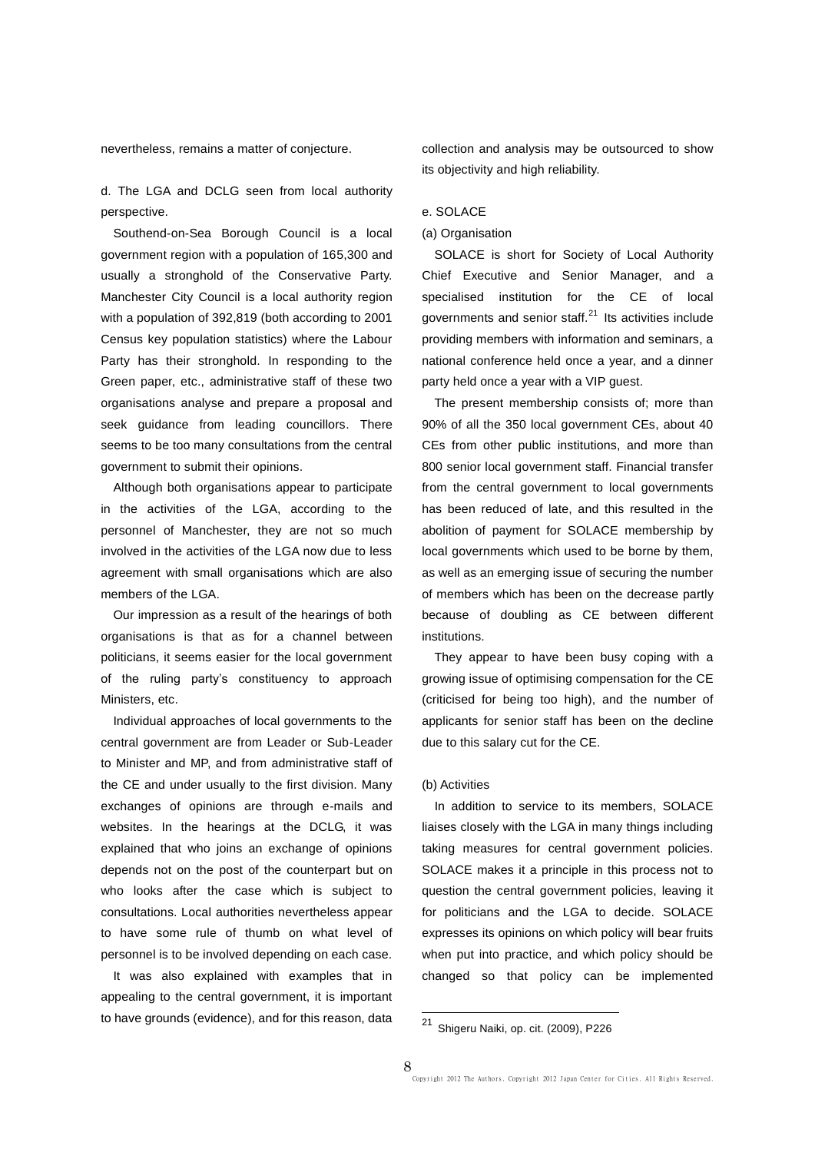nevertheless, remains a matter of conjecture.

d. The LGA and DCLG seen from local authority perspective.

Southend-on-Sea Borough Council is a local government region with a population of 165,300 and usually a stronghold of the Conservative Party. Manchester City Council is a local authority region with a population of 392,819 (both according to 2001 Census key population statistics) where the Labour Party has their stronghold. In responding to the Green paper, etc., administrative staff of these two organisations analyse and prepare a proposal and seek guidance from leading councillors. There seems to be too many consultations from the central government to submit their opinions.

Although both organisations appear to participate in the activities of the LGA, according to the personnel of Manchester, they are not so much involved in the activities of the LGA now due to less agreement with small organisations which are also members of the LGA.

Our impression as a result of the hearings of both organisations is that as for a channel between politicians, it seems easier for the local government of the ruling party's constituency to approach Ministers, etc.

Individual approaches of local governments to the central government are from Leader or Sub-Leader to Minister and MP, and from administrative staff of the CE and under usually to the first division. Many exchanges of opinions are through e-mails and websites. In the hearings at the DCLG, it was explained that who joins an exchange of opinions depends not on the post of the counterpart but on who looks after the case which is subject to consultations. Local authorities nevertheless appear to have some rule of thumb on what level of personnel is to be involved depending on each case.

It was also explained with examples that in appealing to the central government, it is important to have grounds (evidence), and for this reason, data collection and analysis may be outsourced to show its objectivity and high reliability.

#### e. SOLACE

#### (a) Organisation

SOLACE is short for Society of Local Authority Chief Executive and Senior Manager, and a specialised institution for the CE of local governments and senior staff.<sup>21</sup> Its activities include providing members with information and seminars, a national conference held once a year, and a dinner party held once a year with a VIP guest.

The present membership consists of; more than 90% of all the 350 local government CEs, about 40 CEs from other public institutions, and more than 800 senior local government staff. Financial transfer from the central government to local governments has been reduced of late, and this resulted in the abolition of payment for SOLACE membership by local governments which used to be borne by them, as well as an emerging issue of securing the number of members which has been on the decrease partly because of doubling as CE between different institutions.

They appear to have been busy coping with a growing issue of optimising compensation for the CE (criticised for being too high), and the number of applicants for senior staff has been on the decline due to this salary cut for the CE.

### (b) Activities

In addition to service to its members, SOLACE liaises closely with the LGA in many things including taking measures for central government policies. SOLACE makes it a principle in this process not to question the central government policies, leaving it for politicians and the LGA to decide. SOLACE expresses its opinions on which policy will bear fruits when put into practice, and which policy should be changed so that policy can be implemented

 $21$ <sup>21</sup> Shigeru Naiki, op. cit. (2009), P226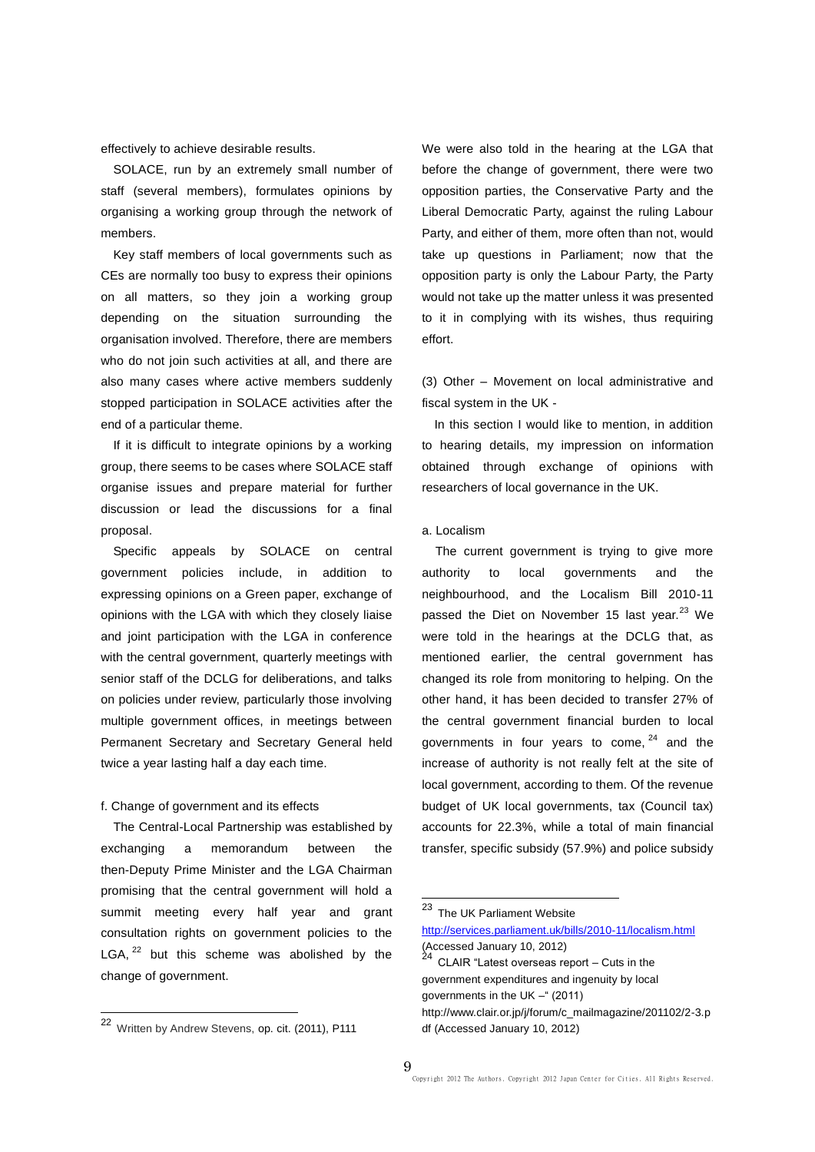effectively to achieve desirable results.

SOLACE, run by an extremely small number of staff (several members), formulates opinions by organising a working group through the network of members.

Key staff members of local governments such as CEs are normally too busy to express their opinions on all matters, so they join a working group depending on the situation surrounding the organisation involved. Therefore, there are members who do not join such activities at all, and there are also many cases where active members suddenly stopped participation in SOLACE activities after the end of a particular theme.

If it is difficult to integrate opinions by a working group, there seems to be cases where SOLACE staff organise issues and prepare material for further discussion or lead the discussions for a final proposal.

Specific appeals by SOLACE on central government policies include, in addition to expressing opinions on a Green paper, exchange of opinions with the LGA with which they closely liaise and joint participation with the LGA in conference with the central government, quarterly meetings with senior staff of the DCLG for deliberations, and talks on policies under review, particularly those involving multiple government offices, in meetings between Permanent Secretary and Secretary General held twice a year lasting half a day each time.

### f. Change of government and its effects

The Central-Local Partnership was established by exchanging a memorandum between the then-Deputy Prime Minister and the LGA Chairman promising that the central government will hold a summit meeting every half year and grant consultation rights on government policies to the LGA,  $22$  but this scheme was abolished by the change of government.

 $\overline{a}$ 

We were also told in the hearing at the LGA that before the change of government, there were two opposition parties, the Conservative Party and the Liberal Democratic Party, against the ruling Labour Party, and either of them, more often than not, would take up questions in Parliament; now that the opposition party is only the Labour Party, the Party would not take up the matter unless it was presented to it in complying with its wishes, thus requiring effort.

(3) Other – Movement on local administrative and fiscal system in the UK -

In this section I would like to mention, in addition to hearing details, my impression on information obtained through exchange of opinions with researchers of local governance in the UK.

## a. Localism

The current government is trying to give more authority to local governments and the neighbourhood, and the Localism Bill 2010-11 passed the Diet on November 15 last year.<sup>23</sup> We were told in the hearings at the DCLG that, as mentioned earlier, the central government has changed its role from monitoring to helping. On the other hand, it has been decided to transfer 27% of the central government financial burden to local governments in four years to come,  $24$  and the increase of authority is not really felt at the site of local government, according to them. Of the revenue budget of UK local governments, tax (Council tax) accounts for 22.3%, while a total of main financial transfer, specific subsidy (57.9%) and police subsidy

 $\overline{\phantom{a}}$ 

<sup>&</sup>lt;sup>22</sup> Written by Andrew Stevens, op. cit. (2011), P111

<sup>23</sup> The UK Parliament Website

<http://services.parliament.uk/bills/2010-11/localism.html> (Accessed January 10, 2012)<br><sup>24</sup> CLAIR "Latest overseas report – Cuts in the

government expenditures and ingenuity by local governments in the UK –" (2011)

http://www.clair.or.jp/j/forum/c\_mailmagazine/201102/2-3.p df (Accessed January 10, 2012)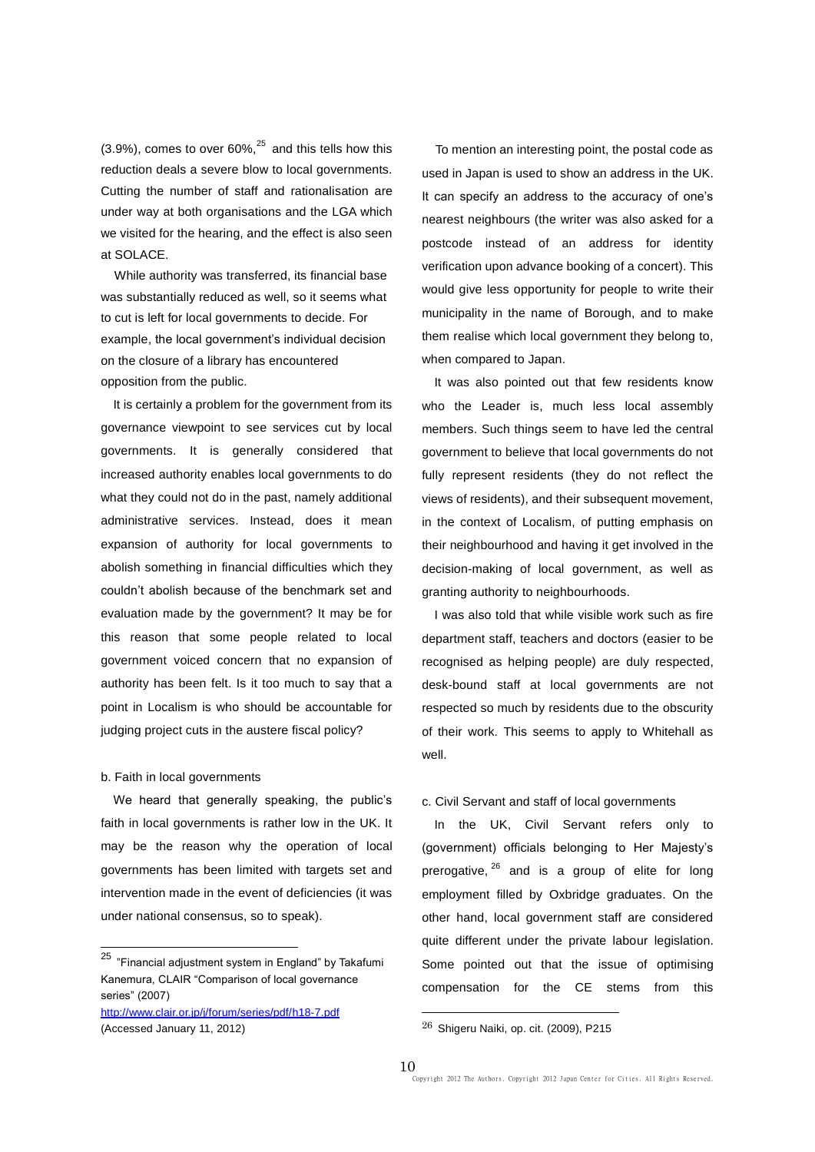$(3.9\%)$ , comes to over 60%,<sup>25</sup> and this tells how this reduction deals a severe blow to local governments. Cutting the number of staff and rationalisation are under way at both organisations and the LGA which we visited for the hearing, and the effect is also seen at SOLACE.

While authority was transferred, its financial base was substantially reduced as well, so it seems what to cut is left for local governments to decide. For example, the local government's individual decision on the closure of a library has encountered opposition from the public.

It is certainly a problem for the government from its governance viewpoint to see services cut by local governments. It is generally considered that increased authority enables local governments to do what they could not do in the past, namely additional administrative services. Instead, does it mean expansion of authority for local governments to abolish something in financial difficulties which they couldn't abolish because of the benchmark set and evaluation made by the government? It may be for this reason that some people related to local government voiced concern that no expansion of authority has been felt. Is it too much to say that a point in Localism is who should be accountable for judging project cuts in the austere fiscal policy?

#### b. Faith in local governments

 $\overline{a}$ 

We heard that generally speaking, the public's faith in local governments is rather low in the UK. It may be the reason why the operation of local governments has been limited with targets set and intervention made in the event of deficiencies (it was under national consensus, so to speak).

<http://www.clair.or.jp/j/forum/series/pdf/h18-7.pdf> (Accessed January 11, 2012)

To mention an interesting point, the postal code as used in Japan is used to show an address in the UK. It can specify an address to the accuracy of one's nearest neighbours (the writer was also asked for a postcode instead of an address for identity verification upon advance booking of a concert). This would give less opportunity for people to write their municipality in the name of Borough, and to make them realise which local government they belong to, when compared to Japan.

It was also pointed out that few residents know who the Leader is, much less local assembly members. Such things seem to have led the central government to believe that local governments do not fully represent residents (they do not reflect the views of residents), and their subsequent movement, in the context of Localism, of putting emphasis on their neighbourhood and having it get involved in the decision-making of local government, as well as granting authority to neighbourhoods.

I was also told that while visible work such as fire department staff, teachers and doctors (easier to be recognised as helping people) are duly respected, desk-bound staff at local governments are not respected so much by residents due to the obscurity of their work. This seems to apply to Whitehall as well.

## c. Civil Servant and staff of local governments

In the UK, Civil Servant refers only to (government) officials belonging to Her Majesty's prerogative, <sup>26</sup> and is a group of elite for long employment filled by Oxbridge graduates. On the other hand, local government staff are considered quite different under the private labour legislation. Some pointed out that the issue of optimising compensation for the CE stems from this

-

<sup>&</sup>lt;sup>25</sup> "Financial adjustment system in England" by Takafumi Kanemura, CLAIR "Comparison of local governance series" (2007)

<sup>26</sup> Shigeru Naiki, op. cit. (2009), P215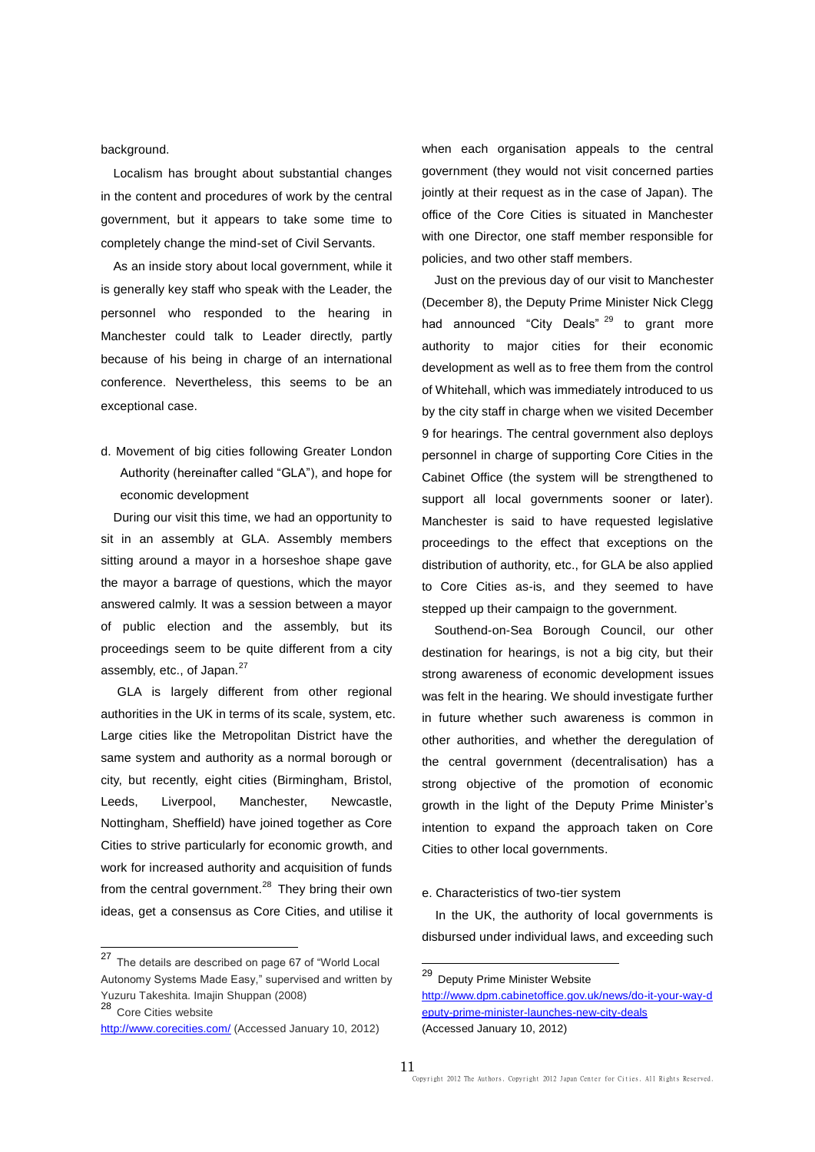background.

Localism has brought about substantial changes in the content and procedures of work by the central government, but it appears to take some time to completely change the mind-set of Civil Servants.

As an inside story about local government, while it is generally key staff who speak with the Leader, the personnel who responded to the hearing in Manchester could talk to Leader directly, partly because of his being in charge of an international conference. Nevertheless, this seems to be an exceptional case.

d. Movement of big cities following Greater London Authority (hereinafter called "GLA"), and hope for economic development

During our visit this time, we had an opportunity to sit in an assembly at GLA. Assembly members sitting around a mayor in a horseshoe shape gave the mayor a barrage of questions, which the mayor answered calmly. It was a session between a mayor of public election and the assembly, but its proceedings seem to be quite different from a city assembly, etc., of Japan.<sup>27</sup>

GLA is largely different from other regional authorities in the UK in terms of its scale, system, etc. Large cities like the Metropolitan District have the same system and authority as a normal borough or city, but recently, eight cities (Birmingham, Bristol, Leeds, Liverpool, Manchester, Newcastle, Nottingham, Sheffield) have joined together as Core Cities to strive particularly for economic growth, and work for increased authority and acquisition of funds from the central government.<sup>28</sup> They bring their own ideas, get a consensus as Core Cities, and utilise it

 $\overline{a}$ 

when each organisation appeals to the central government (they would not visit concerned parties jointly at their request as in the case of Japan). The office of the Core Cities is situated in Manchester with one Director, one staff member responsible for policies, and two other staff members.

Just on the previous day of our visit to Manchester (December 8), the Deputy Prime Minister Nick Clegg had announced "City Deals"<sup>29</sup> to grant more authority to major cities for their economic development as well as to free them from the control of Whitehall, which was immediately introduced to us by the city staff in charge when we visited December 9 for hearings. The central government also deploys personnel in charge of supporting Core Cities in the Cabinet Office (the system will be strengthened to support all local governments sooner or later). Manchester is said to have requested legislative proceedings to the effect that exceptions on the distribution of authority, etc., for GLA be also applied to Core Cities as-is, and they seemed to have stepped up their campaign to the government.

Southend-on-Sea Borough Council, our other destination for hearings, is not a big city, but their strong awareness of economic development issues was felt in the hearing. We should investigate further in future whether such awareness is common in other authorities, and whether the deregulation of the central government (decentralisation) has a strong objective of the promotion of economic growth in the light of the Deputy Prime Minister's intention to expand the approach taken on Core Cities to other local governments.

#### e. Characteristics of two-tier system

In the UK, the authority of local governments is disbursed under individual laws, and exceeding such

1

<sup>&</sup>lt;sup>27</sup> The details are described on page 67 of "World Local Autonomy Systems Made Easy," supervised and written by Yuzuru Takeshita. Imajin Shuppan (2008) <sup>28</sup> Core Cities website

<http://www.corecities.com/> (Accessed January 10, 2012)

<sup>&</sup>lt;sup>29</sup> Deputy Prime Minister Website

[http://www.dpm.cabinetoffice.gov.uk/news/do-it-your-way-d](http://www.dpm.cabinetoffice.gov.uk/news/do-it-your-way-deputy-prime-minister-launches-new-city-deals) [eputy-prime-minister-launches-new-city-deals](http://www.dpm.cabinetoffice.gov.uk/news/do-it-your-way-deputy-prime-minister-launches-new-city-deals) (Accessed January 10, 2012)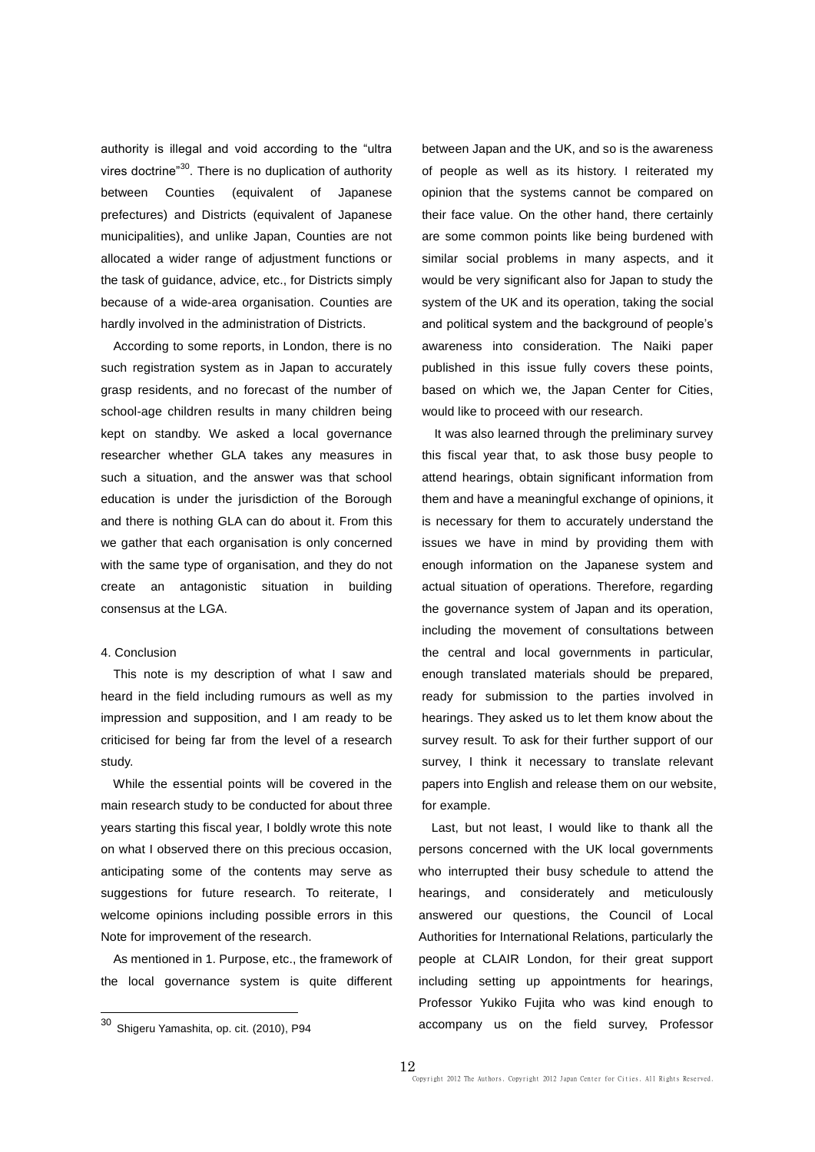authority is illegal and void according to the "ultra vires doctrine"<sup>30</sup>. There is no duplication of authority between Counties (equivalent of Japanese prefectures) and Districts (equivalent of Japanese municipalities), and unlike Japan, Counties are not allocated a wider range of adjustment functions or the task of guidance, advice, etc., for Districts simply because of a wide-area organisation. Counties are hardly involved in the administration of Districts.

According to some reports, in London, there is no such registration system as in Japan to accurately grasp residents, and no forecast of the number of school-age children results in many children being kept on standby. We asked a local governance researcher whether GLA takes any measures in such a situation, and the answer was that school education is under the jurisdiction of the Borough and there is nothing GLA can do about it. From this we gather that each organisation is only concerned with the same type of organisation, and they do not create an antagonistic situation in building consensus at the LGA.

## 4. Conclusion

This note is my description of what I saw and heard in the field including rumours as well as my impression and supposition, and I am ready to be criticised for being far from the level of a research study.

While the essential points will be covered in the main research study to be conducted for about three years starting this fiscal year, I boldly wrote this note on what I observed there on this precious occasion, anticipating some of the contents may serve as suggestions for future research. To reiterate, I welcome opinions including possible errors in this Note for improvement of the research.

As mentioned in 1. Purpose, etc., the framework of the local governance system is quite different

 $\overline{a}$ 

between Japan and the UK, and so is the awareness of people as well as its history. I reiterated my opinion that the systems cannot be compared on their face value. On the other hand, there certainly are some common points like being burdened with similar social problems in many aspects, and it would be very significant also for Japan to study the system of the UK and its operation, taking the social and political system and the background of people's awareness into consideration. The Naiki paper published in this issue fully covers these points, based on which we, the Japan Center for Cities, would like to proceed with our research.

It was also learned through the preliminary survey this fiscal year that, to ask those busy people to attend hearings, obtain significant information from them and have a meaningful exchange of opinions, it is necessary for them to accurately understand the issues we have in mind by providing them with enough information on the Japanese system and actual situation of operations. Therefore, regarding the governance system of Japan and its operation, including the movement of consultations between the central and local governments in particular, enough translated materials should be prepared, ready for submission to the parties involved in hearings. They asked us to let them know about the survey result. To ask for their further support of our survey, I think it necessary to translate relevant papers into English and release them on our website, for example.

Last, but not least, I would like to thank all the persons concerned with the UK local governments who interrupted their busy schedule to attend the hearings, and considerately and meticulously answered our questions, the Council of Local Authorities for International Relations, particularly the people at CLAIR London, for their great support including setting up appointments for hearings, Professor Yukiko Fujita who was kind enough to accompany us on the field survey, Professor

<sup>&</sup>lt;sup>30</sup> Shigeru Yamashita, op. cit. (2010), P94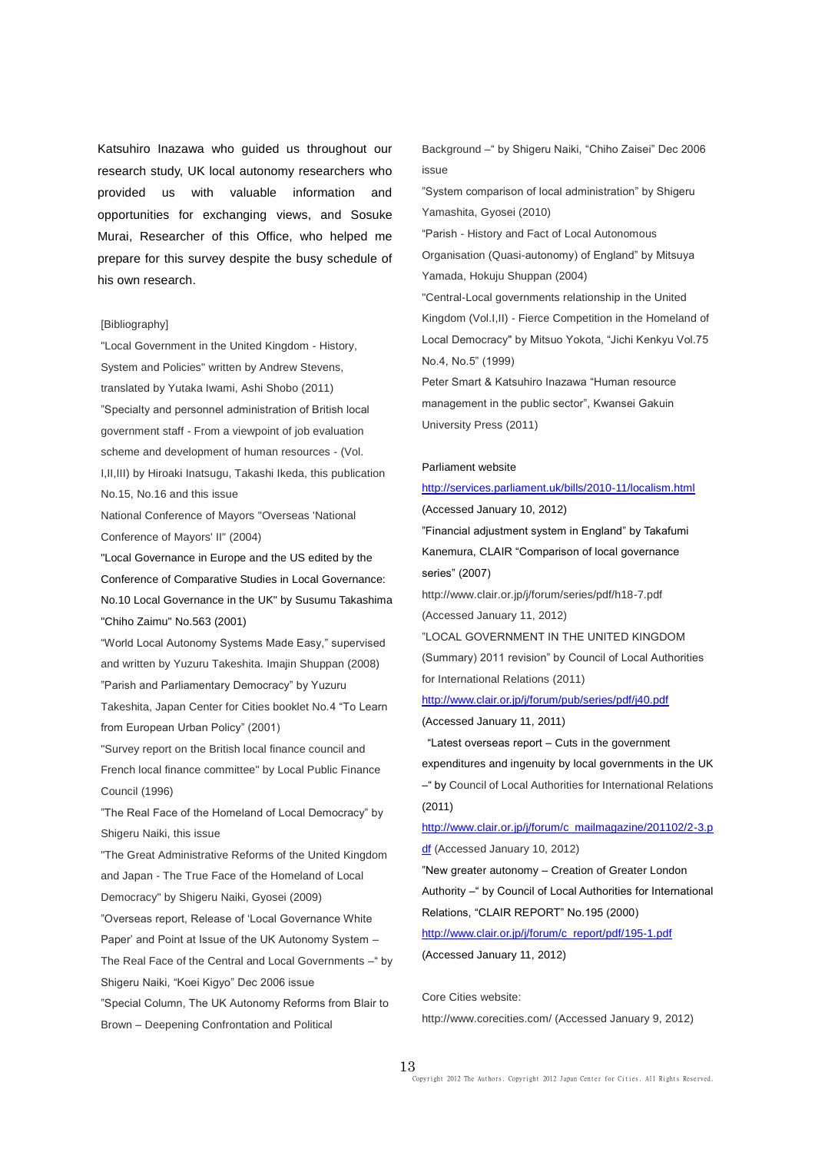Katsuhiro Inazawa who guided us throughout our research study, UK local autonomy researchers who provided us with valuable information and opportunities for exchanging views, and Sosuke Murai, Researcher of this Office, who helped me prepare for this survey despite the busy schedule of his own research.

#### [Bibliography]

"Local Government in the United Kingdom - History, System and Policies" written by Andrew Stevens, translated by Yutaka Iwami, Ashi Shobo (2011) "Specialty and personnel administration of British local government staff - From a viewpoint of job evaluation scheme and development of human resources - (Vol. I,II,III) by Hiroaki Inatsugu, Takashi Ikeda, this publication No.15, No.16 and this issue

National Conference of Mayors "Overseas 'National Conference of Mayors' II" (2004)

"Local Governance in Europe and the US edited by the Conference of Comparative Studies in Local Governance: No.10 Local Governance in the UK" by Susumu Takashima "Chiho Zaimu" No.563 (2001)

"World Local Autonomy Systems Made Easy," supervised and written by Yuzuru Takeshita. Imajin Shuppan (2008) "Parish and Parliamentary Democracy" by Yuzuru

Takeshita, Japan Center for Cities booklet No.4 "To Learn from European Urban Policy" (2001)

"Survey report on the British local finance council and French local finance committee" by Local Public Finance Council (1996)

"The Real Face of the Homeland of Local Democracy" by Shigeru Naiki, this issue

"The Great Administrative Reforms of the United Kingdom and Japan - The True Face of the Homeland of Local Democracy" by Shigeru Naiki, Gyosei (2009)

"Overseas report, Release of 'Local Governance White Paper' and Point at Issue of the UK Autonomy System –

The Real Face of the Central and Local Governments – " by Shigeru Naiki, "Koei Kigyo" Dec 2006 issue

"Special Column, The UK Autonomy Reforms from Blair to Brown – Deepening Confrontation and Political

Background –" by Shigeru Naiki, "Chiho Zaisei" Dec 2006 issue

"System comparison of local administration" by Shigeru Yamashita, Gyosei (2010)

"Parish - History and Fact of Local Autonomous

Organisation (Quasi-autonomy) of England" by Mitsuya Yamada, Hokuju Shuppan (2004)

"Central-Local governments relationship in the United Kingdom (Vol.I,II) - Fierce Competition in the Homeland of Local Democracy" by Mitsuo Yokota, "Jichi Kenkyu Vol.75 No.4, No.5" (1999)

Peter Smart & Katsuhiro Inazawa "Human resource management in the public sector", Kwansei Gakuin University Press (2011)

#### Parliament website

<http://services.parliament.uk/bills/2010-11/localism.html> (Accessed January 10, 2012) "Financial adjustment system in England" by Takafumi

Kanemura, CLAIR "Comparison of local governance series" (2007)

http://www.clair.or.jp/j/forum/series/pdf/h18-7.pdf (Accessed January 11, 2012)

"LOCAL GOVERNMENT IN THE UNITED KINGDOM (Summary) 2011 revision" by Council of Local Authorities for International Relations (2011)

<http://www.clair.or.jp/j/forum/pub/series/pdf/j40.pdf> (Accessed January 11, 2011)

"Latest overseas report – Cuts in the government

expenditures and ingenuity by local governments in the UK –" by Council of Local Authorities for International Relations (2011)

[http://www.clair.or.jp/j/forum/c\\_mailmagazine/201102/2-3.p](http://www.clair.or.jp/j/forum/c_mailmagazine/201102/2-3.pdf)

[df](http://www.clair.or.jp/j/forum/c_mailmagazine/201102/2-3.pdf) (Accessed January 10, 2012)

"New greater autonomy – Creation of Greater London

Authority –" by Council of Local Authorities for International Relations, "CLAIR REPORT" No.195 (2000)

[http://www.clair.or.jp/j/forum/c\\_report/pdf/195-1.pdf](http://www.clair.or.jp/j/forum/c_report/pdf/195-1.pdf) (Accessed January 11, 2012)

Core Cities website:

http://www.corecities.com/ (Accessed January 9, 2012)